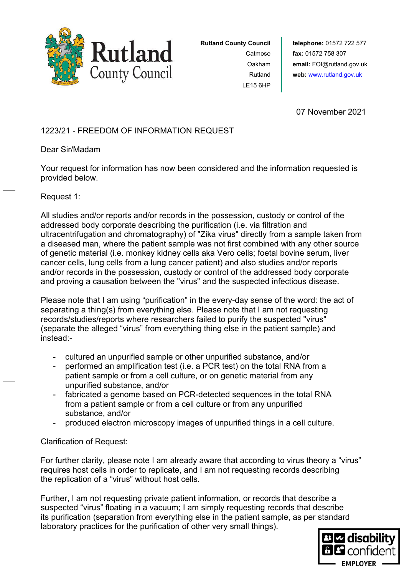

**Rutland County Council** Catmose Oakham Rutland LE15 6HP

07 November 2021

# 1223/21 - FREEDOM OF INFORMATION REQUEST

## Dear Sir/Madam

Your request for information has now been considered and the information requested is provided below.

## Request 1:

All studies and/or reports and/or records in the possession, custody or control of the addressed body corporate describing the purification (i.e. via filtration and ultracentrifugation and chromatography) of "Zika virus" directly from a sample taken from a diseased man, where the patient sample was not first combined with any other source of genetic material (i.e. monkey kidney cells aka Vero cells; foetal bovine serum, liver cancer cells, lung cells from a lung cancer patient) and also studies and/or reports and/or records in the possession, custody or control of the addressed body corporate and proving a causation between the "virus" and the suspected infectious disease.

Please note that I am using "purification" in the every-day sense of the word: the act of separating a thing(s) from everything else. Please note that I am not requesting records/studies/reports where researchers failed to purify the suspected "virus" (separate the alleged "virus" from everything thing else in the patient sample) and instead:-

- cultured an unpurified sample or other unpurified substance, and/or
- performed an amplification test (i.e. a PCR test) on the total RNA from a patient sample or from a cell culture, or on genetic material from any unpurified substance, and/or
- fabricated a genome based on PCR-detected sequences in the total RNA from a patient sample or from a cell culture or from any unpurified substance, and/or
- produced electron microscopy images of unpurified things in a cell culture.

# Clarification of Request:

For further clarity, please note I am already aware that according to virus theory a "virus" requires host cells in order to replicate, and I am not requesting records describing the replication of a "virus" without host cells.

Further, I am not requesting private patient information, or records that describe a suspected "virus" floating in a vacuum; I am simply requesting records that describe its purification (separation from everything else in the patient sample, as per standard laboratory practices for the purification of other very small things).

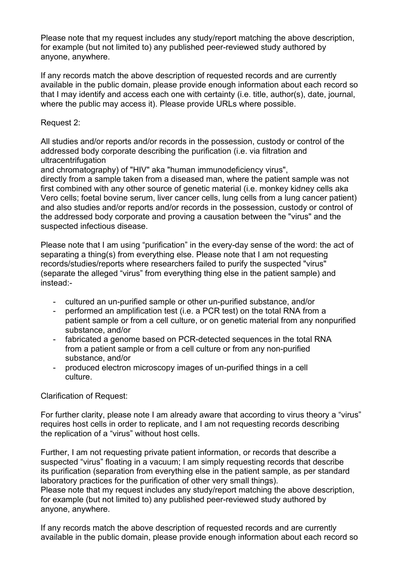Please note that my request includes any study/report matching the above description, for example (but not limited to) any published peer-reviewed study authored by anyone, anywhere.

If any records match the above description of requested records and are currently available in the public domain, please provide enough information about each record so that I may identify and access each one with certainty (i.e. title, author(s), date, journal, where the public may access it). Please provide URLs where possible.

#### Request 2:

All studies and/or reports and/or records in the possession, custody or control of the addressed body corporate describing the purification (i.e. via filtration and ultracentrifugation

and chromatography) of "HIV" aka "human immunodeficiency virus",

directly from a sample taken from a diseased man, where the patient sample was not first combined with any other source of genetic material (i.e. monkey kidney cells aka Vero cells; foetal bovine serum, liver cancer cells, lung cells from a lung cancer patient) and also studies and/or reports and/or records in the possession, custody or control of the addressed body corporate and proving a causation between the "virus" and the suspected infectious disease.

Please note that I am using "purification" in the every-day sense of the word: the act of separating a thing(s) from everything else. Please note that I am not requesting records/studies/reports where researchers failed to purify the suspected "virus" (separate the alleged "virus" from everything thing else in the patient sample) and instead:-

- cultured an un-purified sample or other un-purified substance, and/or
- performed an amplification test (i.e. a PCR test) on the total RNA from a patient sample or from a cell culture, or on genetic material from any nonpurified substance, and/or
- fabricated a genome based on PCR-detected sequences in the total RNA from a patient sample or from a cell culture or from any non-purified substance, and/or
- produced electron microscopy images of un-purified things in a cell culture.

## Clarification of Request:

For further clarity, please note I am already aware that according to virus theory a "virus" requires host cells in order to replicate, and I am not requesting records describing the replication of a "virus" without host cells.

Further, I am not requesting private patient information, or records that describe a suspected "virus" floating in a vacuum; I am simply requesting records that describe its purification (separation from everything else in the patient sample, as per standard laboratory practices for the purification of other very small things). Please note that my request includes any study/report matching the above description, for example (but not limited to) any published peer-reviewed study authored by anyone, anywhere.

If any records match the above description of requested records and are currently available in the public domain, please provide enough information about each record so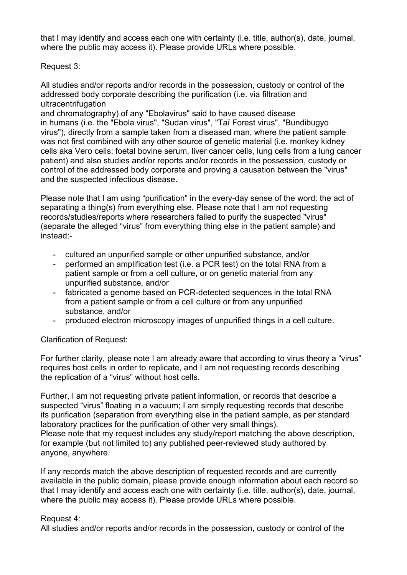that I may identify and access each one with certainty (i.e. title, author(s), date, journal, where the public may access it). Please provide URLs where possible.

Request 3:

All studies and/or reports and/or records in the possession, custody or control of the addressed body corporate describing the purification (i.e. via filtration and ultracentrifugation

and chromatography) of any "Ebolavirus" said to have caused disease in humans (i.e. the "Ebola virus", "Sudan virus", "Taï Forest virus", "Bundibugyo virus"), directly from a sample taken from a diseased man, where the patient sample was not first combined with any other source of genetic material (i.e. monkey kidney cells aka Vero cells; foetal bovine serum, liver cancer cells, lung cells from a lung cancer patient) and also studies and/or reports and/or records in the possession, custody or control of the addressed body corporate and proving a causation between the "virus" and the suspected infectious disease.

Please note that I am using "purification" in the every-day sense of the word: the act of separating a thing(s) from everything else. Please note that I am not requesting records/studies/reports where researchers failed to purify the suspected "virus" (separate the alleged "virus" from everything thing else in the patient sample) and instead:-

- cultured an unpurified sample or other unpurified substance, and/or
- performed an amplification test (i.e. a PCR test) on the total RNA from a patient sample or from a cell culture, or on genetic material from any unpurified substance, and/or
- fabricated a genome based on PCR-detected sequences in the total RNA from a patient sample or from a cell culture or from any unpurified substance, and/or
- produced electron microscopy images of unpurified things in a cell culture.

## Clarification of Request:

For further clarity, please note I am already aware that according to virus theory a "virus" requires host cells in order to replicate, and I am not requesting records describing the replication of a "virus" without host cells.

Further, I am not requesting private patient information, or records that describe a suspected "virus" floating in a vacuum; I am simply requesting records that describe its purification (separation from everything else in the patient sample, as per standard laboratory practices for the purification of other very small things). Please note that my request includes any study/report matching the above description, for example (but not limited to) any published peer-reviewed study authored by

anyone, anywhere.

If any records match the above description of requested records and are currently available in the public domain, please provide enough information about each record so that I may identify and access each one with certainty (i.e. title, author(s), date, journal, where the public may access it). Please provide URLs where possible.

## Request 4:

All studies and/or reports and/or records in the possession, custody or control of the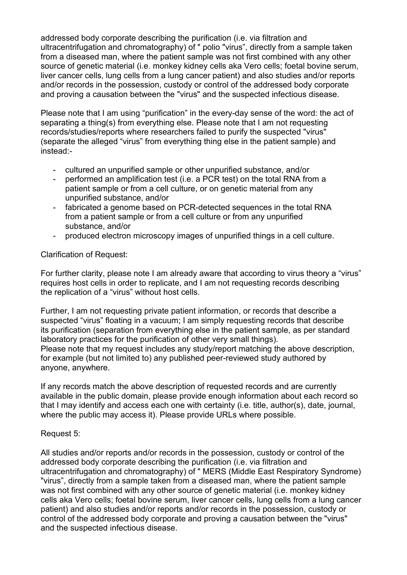addressed body corporate describing the purification (i.e. via filtration and ultracentrifugation and chromatography) of " polio "virus", directly from a sample taken from a diseased man, where the patient sample was not first combined with any other source of genetic material (i.e. monkey kidney cells aka Vero cells; foetal bovine serum, liver cancer cells, lung cells from a lung cancer patient) and also studies and/or reports and/or records in the possession, custody or control of the addressed body corporate and proving a causation between the "virus" and the suspected infectious disease.

Please note that I am using "purification" in the every-day sense of the word: the act of separating a thing(s) from everything else. Please note that I am not requesting records/studies/reports where researchers failed to purify the suspected "virus" (separate the alleged "virus" from everything thing else in the patient sample) and instead:-

- cultured an unpurified sample or other unpurified substance, and/or
- performed an amplification test (i.e. a PCR test) on the total RNA from a patient sample or from a cell culture, or on genetic material from any unpurified substance, and/or
- fabricated a genome based on PCR-detected sequences in the total RNA from a patient sample or from a cell culture or from any unpurified substance, and/or
- produced electron microscopy images of unpurified things in a cell culture.

## Clarification of Request:

For further clarity, please note I am already aware that according to virus theory a "virus" requires host cells in order to replicate, and I am not requesting records describing the replication of a "virus" without host cells.

Further, I am not requesting private patient information, or records that describe a suspected "virus" floating in a vacuum; I am simply requesting records that describe its purification (separation from everything else in the patient sample, as per standard laboratory practices for the purification of other very small things). Please note that my request includes any study/report matching the above description, for example (but not limited to) any published peer-reviewed study authored by anyone, anywhere.

If any records match the above description of requested records and are currently available in the public domain, please provide enough information about each record so that I may identify and access each one with certainty (i.e. title, author(s), date, journal, where the public may access it). Please provide URLs where possible.

#### Request 5:

All studies and/or reports and/or records in the possession, custody or control of the addressed body corporate describing the purification (i.e. via filtration and ultracentrifugation and chromatography) of " MERS (Middle East Respiratory Syndrome) "virus", directly from a sample taken from a diseased man, where the patient sample was not first combined with any other source of genetic material (i.e. monkey kidney cells aka Vero cells; foetal bovine serum, liver cancer cells, lung cells from a lung cancer patient) and also studies and/or reports and/or records in the possession, custody or control of the addressed body corporate and proving a causation between the "virus" and the suspected infectious disease.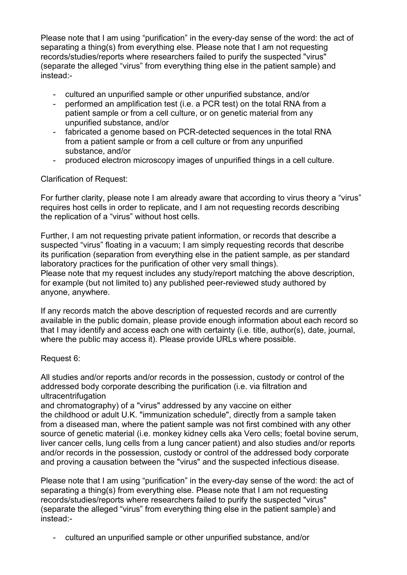Please note that I am using "purification" in the every-day sense of the word: the act of separating a thing(s) from everything else. Please note that I am not requesting records/studies/reports where researchers failed to purify the suspected "virus" (separate the alleged "virus" from everything thing else in the patient sample) and instead:-

- cultured an unpurified sample or other unpurified substance, and/or
- performed an amplification test (i.e. a PCR test) on the total RNA from a patient sample or from a cell culture, or on genetic material from any unpurified substance, and/or
- fabricated a genome based on PCR-detected sequences in the total RNA from a patient sample or from a cell culture or from any unpurified substance, and/or
- produced electron microscopy images of unpurified things in a cell culture.

#### Clarification of Request:

For further clarity, please note I am already aware that according to virus theory a "virus" requires host cells in order to replicate, and I am not requesting records describing the replication of a "virus" without host cells.

Further, I am not requesting private patient information, or records that describe a suspected "virus" floating in a vacuum; I am simply requesting records that describe its purification (separation from everything else in the patient sample, as per standard laboratory practices for the purification of other very small things). Please note that my request includes any study/report matching the above description, for example (but not limited to) any published peer-reviewed study authored by anyone, anywhere.

If any records match the above description of requested records and are currently available in the public domain, please provide enough information about each record so that I may identify and access each one with certainty (i.e. title, author(s), date, journal, where the public may access it). Please provide URLs where possible.

#### Request 6:

All studies and/or reports and/or records in the possession, custody or control of the addressed body corporate describing the purification (i.e. via filtration and ultracentrifugation

and chromatography) of a "virus" addressed by any vaccine on either the childhood or adult U.K. "immunization schedule", directly from a sample taken from a diseased man, where the patient sample was not first combined with any other source of genetic material (i.e. monkey kidney cells aka Vero cells; foetal bovine serum, liver cancer cells, lung cells from a lung cancer patient) and also studies and/or reports and/or records in the possession, custody or control of the addressed body corporate and proving a causation between the "virus" and the suspected infectious disease.

Please note that I am using "purification" in the every-day sense of the word: the act of separating a thing(s) from everything else. Please note that I am not requesting records/studies/reports where researchers failed to purify the suspected "virus" (separate the alleged "virus" from everything thing else in the patient sample) and instead:-

- cultured an unpurified sample or other unpurified substance, and/or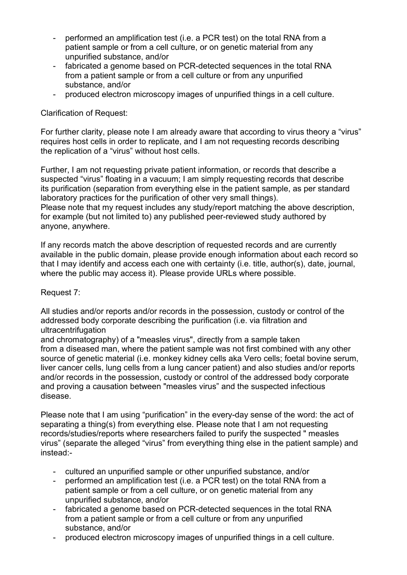- performed an amplification test (i.e. a PCR test) on the total RNA from a patient sample or from a cell culture, or on genetic material from any unpurified substance, and/or
- fabricated a genome based on PCR-detected sequences in the total RNA from a patient sample or from a cell culture or from any unpurified substance, and/or
- produced electron microscopy images of unpurified things in a cell culture.

#### Clarification of Request:

For further clarity, please note I am already aware that according to virus theory a "virus" requires host cells in order to replicate, and I am not requesting records describing the replication of a "virus" without host cells.

Further, I am not requesting private patient information, or records that describe a suspected "virus" floating in a vacuum; I am simply requesting records that describe its purification (separation from everything else in the patient sample, as per standard laboratory practices for the purification of other very small things). Please note that my request includes any study/report matching the above description, for example (but not limited to) any published peer-reviewed study authored by anyone, anywhere.

If any records match the above description of requested records and are currently available in the public domain, please provide enough information about each record so that I may identify and access each one with certainty (i.e. title, author(s), date, journal, where the public may access it). Please provide URLs where possible.

#### Request 7:

All studies and/or reports and/or records in the possession, custody or control of the addressed body corporate describing the purification (i.e. via filtration and ultracentrifugation

and chromatography) of a "measles virus", directly from a sample taken from a diseased man, where the patient sample was not first combined with any other source of genetic material (i.e. monkey kidney cells aka Vero cells; foetal bovine serum, liver cancer cells, lung cells from a lung cancer patient) and also studies and/or reports and/or records in the possession, custody or control of the addressed body corporate and proving a causation between "measles virus" and the suspected infectious disease.

Please note that I am using "purification" in the every-day sense of the word: the act of separating a thing(s) from everything else. Please note that I am not requesting records/studies/reports where researchers failed to purify the suspected " measles virus" (separate the alleged "virus" from everything thing else in the patient sample) and instead:-

- cultured an unpurified sample or other unpurified substance, and/or
- performed an amplification test (i.e. a PCR test) on the total RNA from a patient sample or from a cell culture, or on genetic material from any unpurified substance, and/or
- fabricated a genome based on PCR-detected sequences in the total RNA from a patient sample or from a cell culture or from any unpurified substance, and/or
- produced electron microscopy images of unpurified things in a cell culture.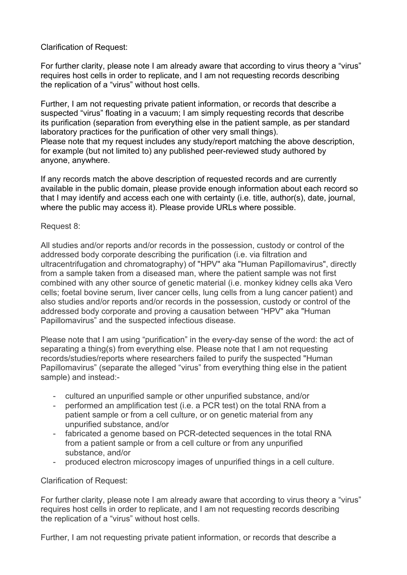#### Clarification of Request:

For further clarity, please note I am already aware that according to virus theory a "virus" requires host cells in order to replicate, and I am not requesting records describing the replication of a "virus" without host cells.

Further, I am not requesting private patient information, or records that describe a suspected "virus" floating in a vacuum; I am simply requesting records that describe its purification (separation from everything else in the patient sample, as per standard laboratory practices for the purification of other very small things). Please note that my request includes any study/report matching the above description, for example (but not limited to) any published peer-reviewed study authored by anyone, anywhere.

If any records match the above description of requested records and are currently available in the public domain, please provide enough information about each record so that I may identify and access each one with certainty (i.e. title, author(s), date, journal, where the public may access it). Please provide URLs where possible.

#### Request 8:

All studies and/or reports and/or records in the possession, custody or control of the addressed body corporate describing the purification (i.e. via filtration and ultracentrifugation and chromatography) of "HPV" aka "Human Papillomavirus", directly from a sample taken from a diseased man, where the patient sample was not first combined with any other source of genetic material (i.e. monkey kidney cells aka Vero cells; foetal bovine serum, liver cancer cells, lung cells from a lung cancer patient) and also studies and/or reports and/or records in the possession, custody or control of the addressed body corporate and proving a causation between "HPV" aka "Human Papillomavirus" and the suspected infectious disease.

Please note that I am using "purification" in the every-day sense of the word: the act of separating a thing(s) from everything else. Please note that I am not requesting records/studies/reports where researchers failed to purify the suspected "Human Papillomavirus" (separate the alleged "virus" from everything thing else in the patient sample) and instead:-

- cultured an unpurified sample or other unpurified substance, and/or
- performed an amplification test (i.e. a PCR test) on the total RNA from a patient sample or from a cell culture, or on genetic material from any unpurified substance, and/or
- fabricated a genome based on PCR-detected sequences in the total RNA from a patient sample or from a cell culture or from any unpurified substance, and/or
- produced electron microscopy images of unpurified things in a cell culture.

#### Clarification of Request:

For further clarity, please note I am already aware that according to virus theory a "virus" requires host cells in order to replicate, and I am not requesting records describing the replication of a "virus" without host cells.

Further, I am not requesting private patient information, or records that describe a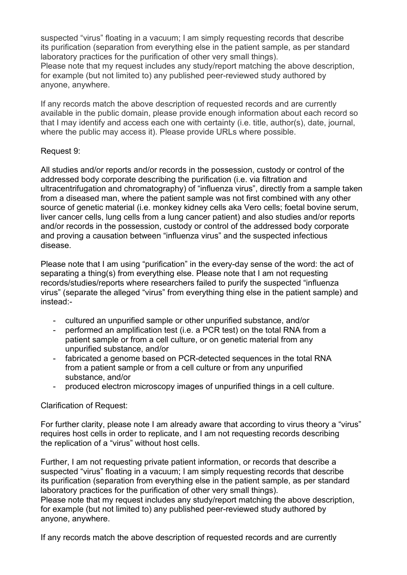suspected "virus" floating in a vacuum; I am simply requesting records that describe its purification (separation from everything else in the patient sample, as per standard laboratory practices for the purification of other very small things). Please note that my request includes any study/report matching the above description, for example (but not limited to) any published peer-reviewed study authored by anyone, anywhere.

If any records match the above description of requested records and are currently available in the public domain, please provide enough information about each record so that I may identify and access each one with certainty (i.e. title, author(s), date, journal, where the public may access it). Please provide URLs where possible.

#### Request 9:

All studies and/or reports and/or records in the possession, custody or control of the addressed body corporate describing the purification (i.e. via filtration and ultracentrifugation and chromatography) of "influenza virus", directly from a sample taken from a diseased man, where the patient sample was not first combined with any other source of genetic material (i.e. monkey kidney cells aka Vero cells; foetal bovine serum, liver cancer cells, lung cells from a lung cancer patient) and also studies and/or reports and/or records in the possession, custody or control of the addressed body corporate and proving a causation between "influenza virus" and the suspected infectious disease.

Please note that I am using "purification" in the every-day sense of the word: the act of separating a thing(s) from everything else. Please note that I am not requesting records/studies/reports where researchers failed to purify the suspected "influenza virus" (separate the alleged "virus" from everything thing else in the patient sample) and instead:-

- cultured an unpurified sample or other unpurified substance, and/or
- performed an amplification test (i.e. a PCR test) on the total RNA from a patient sample or from a cell culture, or on genetic material from any unpurified substance, and/or
- fabricated a genome based on PCR-detected sequences in the total RNA from a patient sample or from a cell culture or from any unpurified substance, and/or
- produced electron microscopy images of unpurified things in a cell culture.

## Clarification of Request:

For further clarity, please note I am already aware that according to virus theory a "virus" requires host cells in order to replicate, and I am not requesting records describing the replication of a "virus" without host cells.

Further, I am not requesting private patient information, or records that describe a suspected "virus" floating in a vacuum; I am simply requesting records that describe its purification (separation from everything else in the patient sample, as per standard laboratory practices for the purification of other very small things). Please note that my request includes any study/report matching the above description,

for example (but not limited to) any published peer-reviewed study authored by anyone, anywhere.

If any records match the above description of requested records and are currently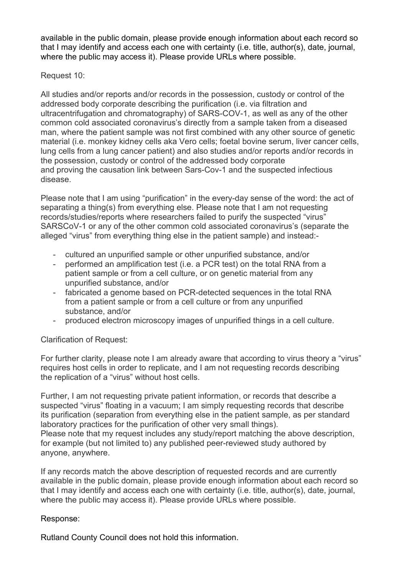available in the public domain, please provide enough information about each record so that I may identify and access each one with certainty (i.e. title, author(s), date, journal, where the public may access it). Please provide URLs where possible.

#### Request 10:

All studies and/or reports and/or records in the possession, custody or control of the addressed body corporate describing the purification (i.e. via filtration and ultracentrifugation and chromatography) of SARS-COV-1, as well as any of the other common cold associated coronavirus's directly from a sample taken from a diseased man, where the patient sample was not first combined with any other source of genetic material (i.e. monkey kidney cells aka Vero cells; foetal bovine serum, liver cancer cells, lung cells from a lung cancer patient) and also studies and/or reports and/or records in the possession, custody or control of the addressed body corporate and proving the causation link between Sars-Cov-1 and the suspected infectious disease.

Please note that I am using "purification" in the every-day sense of the word: the act of separating a thing(s) from everything else. Please note that I am not requesting records/studies/reports where researchers failed to purify the suspected "virus" SARSCoV-1 or any of the other common cold associated coronavirus's (separate the alleged "virus" from everything thing else in the patient sample) and instead:-

- cultured an unpurified sample or other unpurified substance, and/or
- performed an amplification test (i.e. a PCR test) on the total RNA from a patient sample or from a cell culture, or on genetic material from any unpurified substance, and/or
- fabricated a genome based on PCR-detected sequences in the total RNA from a patient sample or from a cell culture or from any unpurified substance, and/or
- produced electron microscopy images of unpurified things in a cell culture.

## Clarification of Request:

For further clarity, please note I am already aware that according to virus theory a "virus" requires host cells in order to replicate, and I am not requesting records describing the replication of a "virus" without host cells.

Further, I am not requesting private patient information, or records that describe a suspected "virus" floating in a vacuum; I am simply requesting records that describe its purification (separation from everything else in the patient sample, as per standard laboratory practices for the purification of other very small things). Please note that my request includes any study/report matching the above description, for example (but not limited to) any published peer-reviewed study authored by anyone, anywhere.

If any records match the above description of requested records and are currently available in the public domain, please provide enough information about each record so that I may identify and access each one with certainty (i.e. title, author(s), date, journal, where the public may access it). Please provide URLs where possible.

## Response:

Rutland County Council does not hold this information.